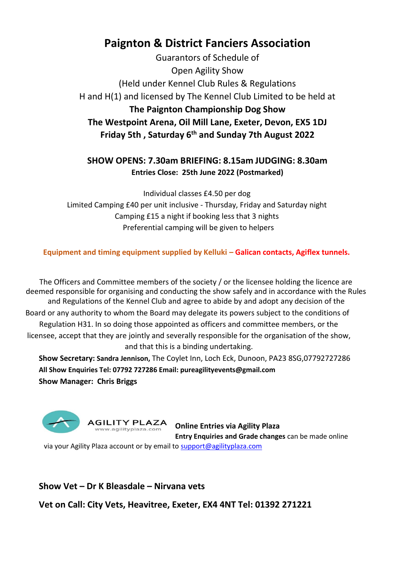# **Paignton & District Fanciers Association**

Guarantors of Schedule of Open Agility Show (Held under Kennel Club Rules & Regulations H and H(1) and licensed by The Kennel Club Limited to be held at **The Paignton Championship Dog Show The Westpoint Arena, Oil Mill Lane, Exeter, Devon, EX5 1DJ Friday 5th , Saturday 6 th and Sunday 7th August 2022**

## **SHOW OPENS: 7.30am BRIEFING: 8.15am JUDGING: 8.30am Entries Close: 25th June 2022 (Postmarked)**

Individual classes £4.50 per dog Limited Camping £40 per unit inclusive - Thursday, Friday and Saturday night Camping £15 a night if booking less that 3 nights Preferential camping will be given to helpers

## **Equipment and timing equipment supplied by Kelluki – Galican contacts, Agiflex tunnels.**

The Officers and Committee members of the society / or the licensee holding the licence are deemed responsible for organising and conducting the show safely and in accordance with the Rules and Regulations of the Kennel Club and agree to abide by and adopt any decision of the Board or any authority to whom the Board may delegate its powers subject to the conditions of Regulation H31. In so doing those appointed as officers and committee members, or the licensee, accept that they are jointly and severally responsible for the organisation of the show, and that this is a binding undertaking.

**Show Secretary: Sandra Jennison,** The Coylet Inn, Loch Eck, Dunoon, PA23 8SG,07792727286 **All Show Enquiries Tel: 07792 727286 Email: pureagilityevents@gmail.com Show Manager: Chris Briggs** 



**Online Entries via Agility Plaza Entry Enquiries and Grade changes** can be made online

via your Agility Plaza account or by email to support@agilityplaza.com

## **Show Vet – Dr K Bleasdale – Nirvana vets**

**Vet on Call: City Vets, Heavitree, Exeter, EX4 4NT Tel: 01392 271221**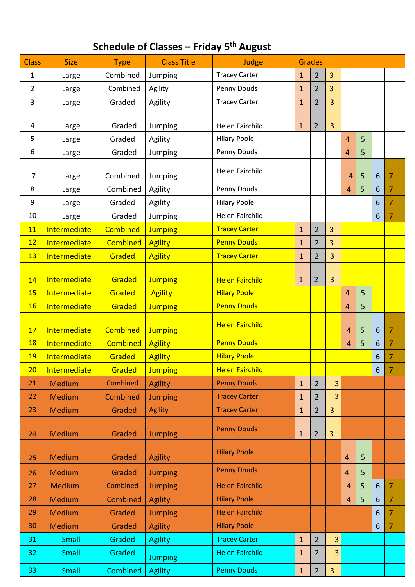## **Schedule of Classes – Friday 5 th August**

| <b>Class</b>   | <b>Size</b>   | <b>Type</b> | <b>Class Title</b> | Judge                  | <b>Grades</b> |                |                |                |   |                 |                |
|----------------|---------------|-------------|--------------------|------------------------|---------------|----------------|----------------|----------------|---|-----------------|----------------|
| $\mathbf 1$    | Large         | Combined    | Jumping            | <b>Tracey Carter</b>   | $\mathbf{1}$  | $\overline{2}$ | $\overline{3}$ |                |   |                 |                |
| $\overline{2}$ | Large         | Combined    | Agility            | Penny Douds            | $\mathbf{1}$  | $\overline{2}$ | $\overline{3}$ |                |   |                 |                |
| 3              | Large         | Graded      | Agility            | <b>Tracey Carter</b>   | $\mathbf{1}$  | $\overline{2}$ | $\overline{3}$ |                |   |                 |                |
|                |               |             |                    |                        |               |                |                |                |   |                 |                |
| 4              | Large         | Graded      | Jumping            | <b>Helen Fairchild</b> | $\mathbf{1}$  | $\overline{2}$ | 3              |                |   |                 |                |
| 5              | Large         | Graded      | Agility            | <b>Hilary Poole</b>    |               |                |                | 4              | 5 |                 |                |
| 6              | Large         | Graded      | Jumping            | Penny Douds            |               |                |                | 4              | 5 |                 |                |
|                |               |             |                    | <b>Helen Fairchild</b> |               |                |                |                |   |                 |                |
| $\overline{7}$ | Large         | Combined    | Jumping            |                        |               |                |                | 4              | 5 | $6\phantom{1}6$ | 7              |
| 8              | Large         | Combined    | Agility            | Penny Douds            |               |                |                | $\overline{4}$ | 5 | 6               | $\overline{7}$ |
| 9              | Large         | Graded      | Agility            | <b>Hilary Poole</b>    |               |                |                |                |   | 6               | $\overline{7}$ |
| 10             | Large         | Graded      | Jumping            | <b>Helen Fairchild</b> |               |                |                |                |   | $6\phantom{1}6$ | $\overline{7}$ |
| <b>11</b>      | Intermediate  | Combined    | <b>Jumping</b>     | <b>Tracey Carter</b>   | $\mathbf{1}$  | $\overline{2}$ | 3              |                |   |                 |                |
| 12             | Intermediate  | Combined    | <b>Agility</b>     | <b>Penny Douds</b>     | $\mathbf{1}$  | $\overline{2}$ | $\overline{3}$ |                |   |                 |                |
| 13             | Intermediate  | Graded      | <b>Agility</b>     | <b>Tracey Carter</b>   | $\mathbf{1}$  | $\overline{2}$ | 3              |                |   |                 |                |
|                |               |             |                    |                        |               |                |                |                |   |                 |                |
| 14             | Intermediate  | Graded      | <b>Jumping</b>     | <b>Helen Fairchild</b> | $\mathbf{1}$  | $\overline{2}$ | 3              |                |   |                 |                |
| 15             | Intermediate  | Graded      | <b>Agility</b>     | <b>Hilary Poole</b>    |               |                |                | 4              | 5 |                 |                |
| 16             | Intermediate  | Graded      | <b>Jumping</b>     | <b>Penny Douds</b>     |               |                |                | 4              | 5 |                 |                |
| 17             | Intermediate  | Combined    | <b>Jumping</b>     | <b>Helen Fairchild</b> |               |                |                | 4              | 5 | 6               | $\overline{7}$ |
| <b>18</b>      | Intermediate  | Combined    | <b>Agility</b>     | <b>Penny Douds</b>     |               |                |                | $\overline{4}$ | 5 | 6               | 7              |
| 19             | Intermediate  | Graded      | <b>Agility</b>     | <b>Hilary Poole</b>    |               |                |                |                |   | 6               | 7              |
| 20             | Intermediate  | Graded      | <b>Jumping</b>     | <b>Helen Fairchild</b> |               |                |                |                |   | $6\phantom{1}6$ | $\overline{7}$ |
| 21             | <b>Medium</b> | Combined    | Agility            | <b>Penny Douds</b>     | $\mathbf{1}$  | $\overline{2}$ | $\overline{3}$ |                |   |                 |                |
| 22             | <b>Medium</b> | Combined    | <b>Jumping</b>     | <b>Tracey Carter</b>   | $\mathbf 1$   | $\overline{2}$ | 3              |                |   |                 |                |
| 23             | <b>Medium</b> | Graded      | <b>Agility</b>     | <b>Tracey Carter</b>   | $\mathbf{1}$  | $\overline{2}$ | $\overline{3}$ |                |   |                 |                |
|                |               |             |                    |                        |               |                |                |                |   |                 |                |
| 24             | <b>Medium</b> | Graded      | <b>Jumping</b>     | <b>Penny Douds</b>     | $\mathbf{1}$  | $\overline{2}$ | 3              |                |   |                 |                |
|                |               |             |                    |                        |               |                |                |                |   |                 |                |
| 25             | <b>Medium</b> | Graded      | <b>Agility</b>     | <b>Hilary Poole</b>    |               |                |                | 4              | 5 |                 |                |
| 26             | <b>Medium</b> | Graded      | <b>Jumping</b>     | <b>Penny Douds</b>     |               |                |                | 4              | 5 |                 |                |
| 27             | <b>Medium</b> | Combined    | <b>Jumping</b>     | <b>Helen Fairchild</b> |               |                |                | $\overline{4}$ | 5 | $6\phantom{1}6$ | $\overline{7}$ |
| 28             | <b>Medium</b> | Combined    | <b>Agility</b>     | <b>Hilary Poole</b>    |               |                |                | $\overline{4}$ | 5 | 6               | $\overline{7}$ |
| 29             | <b>Medium</b> | Graded      | <b>Jumping</b>     | <b>Helen Fairchild</b> |               |                |                |                |   | $6\phantom{1}6$ | $\overline{7}$ |
| 30             | <b>Medium</b> | Graded      | <b>Agility</b>     | <b>Hilary Poole</b>    |               |                |                |                |   | 6               | $\overline{7}$ |
| 31             | Small         | Graded      | <b>Agility</b>     | <b>Tracey Carter</b>   | $1\,$         | $\overline{2}$ | 3              |                |   |                 |                |
| 32             | Small         | Graded      | <b>Jumping</b>     | <b>Helen Fairchild</b> | $1\,$         | $\overline{2}$ | 3              |                |   |                 |                |
| 33             | Small         | Combined    | <b>Agility</b>     | <b>Penny Douds</b>     | $1\,$         | $\overline{2}$ | $\overline{3}$ |                |   |                 |                |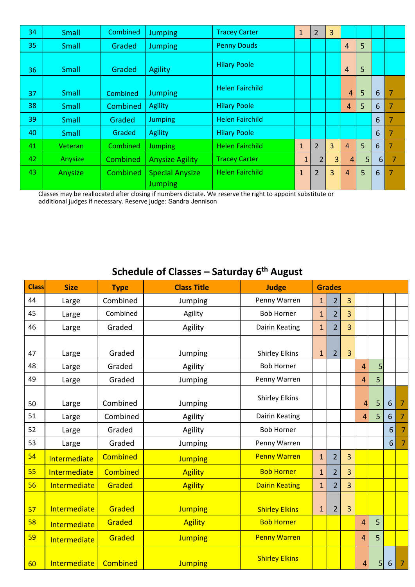| 34 | Small   | Combined | <b>Jumping</b>                           | <b>Tracey Carter</b>   | $\mathbf{1}$   | $\overline{2}$ | 3 |                |   |                  |                |
|----|---------|----------|------------------------------------------|------------------------|----------------|----------------|---|----------------|---|------------------|----------------|
| 35 | Small   | Graded   | Jumping                                  | <b>Penny Douds</b>     |                |                |   | 4              | 5 |                  |                |
| 36 | Small   | Graded   | Agility                                  | <b>Hilary Poole</b>    |                |                |   | 4              | 5 |                  |                |
| 37 | Small   | Combined | <b>Jumping</b>                           | <b>Helen Fairchild</b> |                |                |   | $\overline{4}$ | 5 | 6                | 7              |
| 38 | Small   | Combined | <b>Agility</b>                           | <b>Hilary Poole</b>    |                |                |   | $\overline{4}$ | 5 | 6                | 7              |
| 39 | Small   | Graded   | <b>Jumping</b>                           | <b>Helen Fairchild</b> |                |                |   |                |   | 6                | 7              |
| 40 | Small   | Graded   | Agility                                  | <b>Hilary Poole</b>    |                |                |   |                |   | 6                | 7              |
| 41 | Veteran | Combined | <b>Jumping</b>                           | <b>Helen Fairchild</b> | $\mathbf{1}$   | $\overline{2}$ | 3 | $\overline{4}$ | 5 | 6                | $\overline{7}$ |
| 42 | Anysize | Combined | <b>Anysize Agility</b>                   | <b>Tracey Carter</b>   | $\mathbf{1}$   | $\overline{2}$ | 3 | $\overline{4}$ | 5 | $6 \overline{6}$ | 7              |
| 43 | Anysize | Combined | <b>Special Anysize</b><br><b>Jumping</b> | <b>Helen Fairchild</b> | $\overline{1}$ | $\overline{2}$ | 3 | $\overline{4}$ | 5 | 6                | 7              |

Classes may be reallocated after closing if numbers dictate. We reserve the right to appoint substitute or

additional judges if necessary. Reserve judge: Sandra Jennison

# **Schedule of Classes – Saturday 6 th August**

| <b>Class</b> | <b>Size</b>  | <b>Type</b>     | <b>Class Title</b> | <b>Judge</b>          | <b>Grades</b> |                |   |                |   |                 |                |
|--------------|--------------|-----------------|--------------------|-----------------------|---------------|----------------|---|----------------|---|-----------------|----------------|
| 44           | Large        | Combined        | Jumping            | Penny Warren          | $\mathbf{1}$  | $\overline{2}$ | 3 |                |   |                 |                |
| 45           | Large        | Combined        | Agility            | <b>Bob Horner</b>     | $\mathbf{1}$  | $\overline{2}$ | 3 |                |   |                 |                |
| 46           | Large        | Graded          | Agility            | Dairin Keating        | $\mathbf{1}$  | $\overline{2}$ | 3 |                |   |                 |                |
|              |              |                 |                    |                       |               |                |   |                |   |                 |                |
| 47           | Large        | Graded          | Jumping            | <b>Shirley Elkins</b> | $\mathbf{1}$  | $\overline{2}$ | 3 |                |   |                 |                |
| 48           | Large        | Graded          | Agility            | <b>Bob Horner</b>     |               |                |   | $\overline{4}$ | 5 |                 |                |
| 49           | Large        | Graded          | Jumping            | Penny Warren          |               |                |   | 4              | 5 |                 |                |
| 50           | Large        | Combined        | Jumping            | <b>Shirley Elkins</b> |               |                |   | 4              | 5 | 6               | $\overline{7}$ |
| 51           | Large        | Combined        | Agility            | Dairin Keating        |               |                |   | 4              | 5 | 6               | $\overline{7}$ |
| 52           | Large        | Graded          | Agility            | <b>Bob Horner</b>     |               |                |   |                |   | 6               | $\overline{7}$ |
| 53           | Large        | Graded          | Jumping            | Penny Warren          |               |                |   |                |   | 6               | $\overline{7}$ |
| 54           | Intermediate | Combined        | <b>Jumping</b>     | <b>Penny Warren</b>   | $\mathbf{1}$  | $\overline{2}$ | 3 |                |   |                 |                |
| 55           | Intermediate | <b>Combined</b> | <b>Agility</b>     | <b>Bob Horner</b>     | $\mathbf{1}$  | $\overline{2}$ | 3 |                |   |                 |                |
| 56           | Intermediate | Graded          | <b>Agility</b>     | <b>Dairin Keating</b> | $\mathbf{1}$  | $\overline{2}$ | 3 |                |   |                 |                |
| 57           | Intermediate | Graded          | <b>Jumping</b>     | <b>Shirley Elkins</b> | $\mathbf{1}$  | $\overline{2}$ | 3 |                |   |                 |                |
| 58           | Intermediate | Graded          | <b>Agility</b>     | <b>Bob Horner</b>     |               |                |   | 4              | 5 |                 |                |
| 59           | Intermediate | Graded          | <b>Jumping</b>     | <b>Penny Warren</b>   |               |                |   | 4              | 5 |                 |                |
| 60           | Intermediate | Combined        | <b>Jumping</b>     | <b>Shirley Elkins</b> |               |                |   | 4              | 5 | $6\phantom{1}6$ | $\overline{7}$ |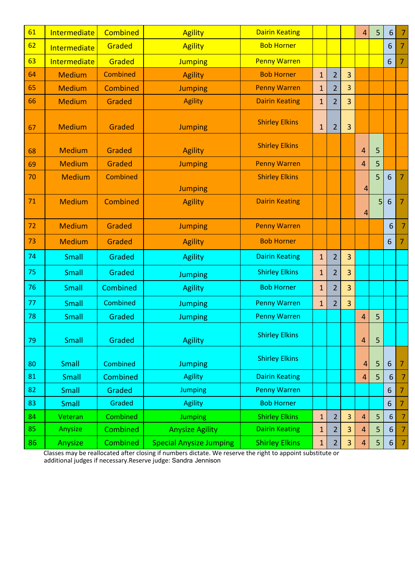| 61 | Intermediate        | Combined        | <b>Agility</b>         | <b>Dairin Keating</b> |              |                |   | 4              | 5 | $\boldsymbol{6}$ | -7             |
|----|---------------------|-----------------|------------------------|-----------------------|--------------|----------------|---|----------------|---|------------------|----------------|
| 62 | Intermediate        | Graded          | <b>Agility</b>         | <b>Bob Horner</b>     |              |                |   |                |   | 6                | 7              |
| 63 | <b>Intermediate</b> | Graded          | <b>Jumping</b>         | <b>Penny Warren</b>   |              |                |   |                |   | 6                | 7              |
| 64 | <b>Medium</b>       | Combined        | <b>Agility</b>         | <b>Bob Horner</b>     | $\mathbf{1}$ | $\overline{2}$ | 3 |                |   |                  |                |
| 65 | <b>Medium</b>       | Combined        | <b>Jumping</b>         | <b>Penny Warren</b>   | $\mathbf{1}$ | $\overline{2}$ | 3 |                |   |                  |                |
| 66 | <b>Medium</b>       | Graded          | <b>Agility</b>         | <b>Dairin Keating</b> | $\mathbf{1}$ | $\overline{2}$ | 3 |                |   |                  |                |
| 67 | <b>Medium</b>       | Graded          | <b>Jumping</b>         | <b>Shirley Elkins</b> | $\mathbf{1}$ | $\overline{2}$ | 3 |                |   |                  |                |
| 68 | <b>Medium</b>       | Graded          | <b>Agility</b>         | <b>Shirley Elkins</b> |              |                |   | 4              | 5 |                  |                |
| 69 | <b>Medium</b>       | Graded          | <b>Jumping</b>         | <b>Penny Warren</b>   |              |                |   | 4              | 5 |                  |                |
| 70 | <b>Medium</b>       | <b>Combined</b> | <b>Jumping</b>         | <b>Shirley Elkins</b> |              |                |   | 4              | 5 | 6                | 7              |
| 71 | <b>Medium</b>       | <b>Combined</b> | <b>Agility</b>         | <b>Dairin Keating</b> |              |                |   | 4              | 5 | 6                | 7              |
| 72 | <b>Medium</b>       | Graded          | <b>Jumping</b>         | <b>Penny Warren</b>   |              |                |   |                |   | $6\phantom{1}$   | 7              |
|    |                     |                 |                        |                       |              |                |   |                |   |                  |                |
| 73 | <b>Medium</b>       | Graded          | <b>Agility</b>         | <b>Bob Horner</b>     |              |                |   |                |   | $6\phantom{1}$   | $\overline{7}$ |
| 74 | Small               | Graded          | <b>Agility</b>         | <b>Dairin Keating</b> | $\mathbf{1}$ | $\overline{2}$ | 3 |                |   |                  |                |
| 75 | Small               | Graded          | <b>Jumping</b>         | <b>Shirley Elkins</b> | $\mathbf{1}$ | $\overline{2}$ | 3 |                |   |                  |                |
| 76 | Small               | Combined        | <b>Agility</b>         | <b>Bob Horner</b>     | $\mathbf{1}$ | $\overline{2}$ | 3 |                |   |                  |                |
| 77 | Small               | Combined        | <b>Jumping</b>         | <b>Penny Warren</b>   | $\mathbf{1}$ | $\overline{2}$ | 3 |                |   |                  |                |
| 78 | Small               | Graded          | <b>Jumping</b>         | <b>Penny Warren</b>   |              |                |   | 4              | 5 |                  |                |
| 79 | Small               | Graded          | <b>Agility</b>         | <b>Shirley Elkins</b> |              |                |   | 4              | 5 |                  |                |
| 80 | Small               | Combined        | <b>Jumping</b>         | <b>Shirley Elkins</b> |              |                |   | $\overline{4}$ | 5 | $6\phantom{1}6$  | 7              |
| 81 | Small               | Combined        | <b>Agility</b>         | <b>Dairin Keating</b> |              |                |   | 4              | 5 | $6\phantom{1}6$  |                |
| 82 | Small               | Graded          | <b>Jumping</b>         | <b>Penny Warren</b>   |              |                |   |                |   | 6                | 7              |
| 83 | Small               | Graded          | <b>Agility</b>         | <b>Bob Horner</b>     |              |                |   |                |   | $6 \overline{6}$ | 7              |
| 84 | Veteran             | Combined        | <b>Jumping</b>         | <b>Shirley Elkins</b> | $\mathbf{1}$ | $\overline{2}$ | 3 | 4              | 5 | $\boldsymbol{6}$ | $\overline{7}$ |
| 85 | Anysize             | Combined        | <b>Anysize Agility</b> | <b>Dairin Keating</b> | $\mathbf{1}$ | $\overline{2}$ | 3 | 4              | 5 | $6\phantom{1}6$  | 7              |

Classes may be reallocated after closing if numbers dictate. We reserve the right to appoint substitute or additional judges if necessary.Reserve judge: Sandra Jennison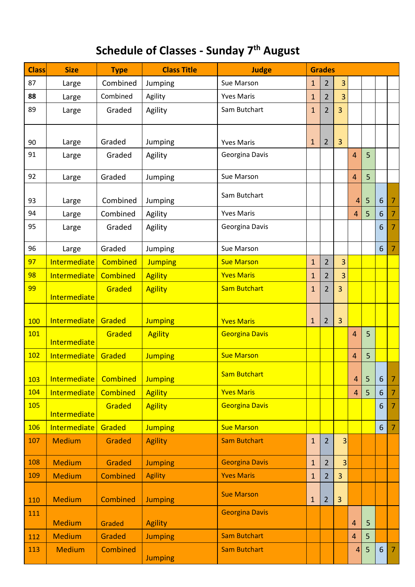# **Schedule of Classes - Sunday 7 th August**

| <b>Class</b> | <b>Size</b>         | <b>Type</b>     | <b>Class Title</b> | <b>Judge</b>          | <b>Grades</b> |                |                |                |   |                |                |
|--------------|---------------------|-----------------|--------------------|-----------------------|---------------|----------------|----------------|----------------|---|----------------|----------------|
| 87           | Large               | Combined        | Jumping            | Sue Marson            | 1             | $\overline{2}$ | 3              |                |   |                |                |
| 88           | Large               | Combined        | Agility            | <b>Yves Maris</b>     | $\mathbf{1}$  | $\overline{2}$ | 3              |                |   |                |                |
| 89           | Large               | Graded          | Agility            | Sam Butchart          | $\mathbf{1}$  | $\overline{2}$ | 3              |                |   |                |                |
|              |                     |                 |                    |                       |               |                |                |                |   |                |                |
| 90           | Large               | Graded          | Jumping            | <b>Yves Maris</b>     | $\mathbf{1}$  | $\overline{2}$ | 3              |                |   |                |                |
| 91           | Large               | Graded          | Agility            | Georgina Davis        |               |                |                | $\overline{4}$ | 5 |                |                |
| 92           | Large               | Graded          | Jumping            | Sue Marson            |               |                |                | $\overline{4}$ | 5 |                |                |
| 93           | Large               | Combined        | Jumping            | Sam Butchart          |               |                |                | 4              | 5 | 6              | 7              |
| 94           | Large               | Combined        | Agility            | <b>Yves Maris</b>     |               |                |                | $\overline{4}$ | 5 | 6              | 7              |
| 95           | Large               | Graded          | Agility            | Georgina Davis        |               |                |                |                |   | 6              | 7              |
| 96           | Large               | Graded          | Jumping            | Sue Marson            |               |                |                |                |   | 6              | 7              |
| 97           | <b>Intermediate</b> | <b>Combined</b> | <b>Jumping</b>     | <b>Sue Marson</b>     | $\mathbf{1}$  | $\overline{2}$ | 3              |                |   |                |                |
| 98           | <b>Intermediate</b> | <b>Combined</b> | <b>Agility</b>     | <b>Yves Maris</b>     | 1             | $\overline{2}$ | 3              |                |   |                |                |
| 99           | Intermediate        | Graded          | <b>Agility</b>     | <b>Sam Butchart</b>   | $\mathbf{1}$  | $\overline{2}$ | 3              |                |   |                |                |
|              |                     |                 |                    |                       |               |                |                |                |   |                |                |
| 100          | Intermediate        | Graded          | <b>Jumping</b>     | <b>Yves Maris</b>     | $\mathbf{1}$  | $\overline{2}$ | 3              |                |   |                |                |
| 101          | Intermediate        | Graded          | <b>Agility</b>     | <b>Georgina Davis</b> |               |                |                | $\overline{4}$ | 5 |                |                |
| 102          | Intermediate        | Graded          | <b>Jumping</b>     | <b>Sue Marson</b>     |               |                |                | $\overline{4}$ | 5 |                |                |
| 103          | Intermediate        | Combined        | <b>Jumping</b>     | <b>Sam Butchart</b>   |               |                |                | 4              | 5 | 6              | 7              |
| 104          | Intermediate        | <b>Combined</b> | <b>Agility</b>     | <b>Yves Maris</b>     |               |                |                | $\overline{4}$ | 5 | 6              | 7              |
| 105          | Intermediate        | Graded          | <b>Agility</b>     | <b>Georgina Davis</b> |               |                |                |                |   | 6              | 7              |
| 106          | <b>Intermediate</b> | Graded          | <b>Jumping</b>     | <b>Sue Marson</b>     |               |                |                |                |   | 6              | 7              |
| 107          | <b>Medium</b>       | Graded          | <b>Agility</b>     | <b>Sam Butchart</b>   | $\mathbf{1}$  | $\overline{2}$ | 3              |                |   |                |                |
| 108          | <b>Medium</b>       | <b>Graded</b>   | <b>Jumping</b>     | <b>Georgina Davis</b> | $\mathbf{1}$  | $\overline{2}$ | 3              |                |   |                |                |
| 109          | <b>Medium</b>       | Combined        | <b>Agility</b>     | <b>Yves Maris</b>     | $\mathbf{1}$  | $\overline{2}$ | $\overline{3}$ |                |   |                |                |
| 110          | <b>Medium</b>       | <b>Combined</b> | <b>Jumping</b>     | <b>Sue Marson</b>     | $\mathbf{1}$  | $\overline{2}$ | $\overline{3}$ |                |   |                |                |
| 111          | <b>Medium</b>       | Graded          | <b>Agility</b>     | <b>Georgina Davis</b> |               |                |                | 4              | 5 |                |                |
| 112          | <b>Medium</b>       | Graded          | <b>Jumping</b>     | <b>Sam Butchart</b>   |               |                |                | 4              | 5 |                |                |
| 113          | <b>Medium</b>       | <b>Combined</b> | <b>Jumping</b>     | <b>Sam Butchart</b>   |               |                |                | 4              | 5 | $6\phantom{1}$ | $\overline{7}$ |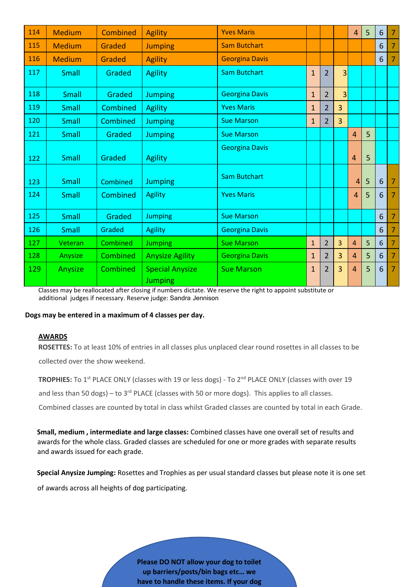| 114 | <b>Medium</b> | <b>Combined</b> | <b>Agility</b>                           | <b>Yves Maris</b>     |                |                |   | $\overline{4}$ | 5 | 6              | 7              |
|-----|---------------|-----------------|------------------------------------------|-----------------------|----------------|----------------|---|----------------|---|----------------|----------------|
| 115 | <b>Medium</b> | Graded          | <b>Jumping</b>                           | <b>Sam Butchart</b>   |                |                |   |                |   | 6              | 7              |
| 116 | <b>Medium</b> | Graded          | <b>Agility</b>                           | <b>Georgina Davis</b> |                |                |   |                |   | 6              | $\overline{7}$ |
| 117 | Small         | Graded          | <b>Agility</b>                           | <b>Sam Butchart</b>   | $\overline{1}$ | $\overline{2}$ | 3 |                |   |                |                |
| 118 | Small         | Graded          | <b>Jumping</b>                           | <b>Georgina Davis</b> | $\mathbf{1}$   | $\overline{2}$ | 3 |                |   |                |                |
| 119 | Small         | Combined        | <b>Agility</b>                           | <b>Yves Maris</b>     | $\mathbf{1}$   | $\overline{2}$ | 3 |                |   |                |                |
| 120 | Small         | Combined        | <b>Jumping</b>                           | <b>Sue Marson</b>     | $\mathbf{1}$   | $\overline{2}$ | 3 |                |   |                |                |
| 121 | Small         | Graded          | <b>Jumping</b>                           | <b>Sue Marson</b>     |                |                |   | 4              | 5 |                |                |
| 122 | Small         | Graded          | <b>Agility</b>                           | <b>Georgina Davis</b> |                |                |   | $\overline{4}$ | 5 |                |                |
| 123 | Small         | Combined        | <b>Jumping</b>                           | <b>Sam Butchart</b>   |                |                |   | $\overline{4}$ | 5 | $6\phantom{1}$ | $\overline{7}$ |
| 124 | Small         | Combined        | <b>Agility</b>                           | <b>Yves Maris</b>     |                |                |   | $\overline{4}$ | 5 | 6              | 7              |
| 125 | Small         | Graded          | <b>Jumping</b>                           | <b>Sue Marson</b>     |                |                |   |                |   | 6              | $\overline{7}$ |
| 126 | Small         | Graded          | <b>Agility</b>                           | <b>Georgina Davis</b> |                |                |   |                |   | 6              | 7              |
| 127 | Veteran       | Combined        | <b>Jumping</b>                           | <b>Sue Marson</b>     | $\mathbf{1}$   | $\overline{2}$ | 3 | 4              | 5 | 6              | $\overline{7}$ |
| 128 | Anysize       | Combined        | <b>Anysize Agility</b>                   | <b>Georgina Davis</b> | 1              | $\overline{2}$ | 3 | 4              | 5 | 6              | 7              |
| 129 | Anysize       | Combined        | <b>Special Anysize</b><br><b>Jumping</b> | <b>Sue Marson</b>     | $\mathbf{1}$   | $\overline{2}$ | 3 | 4              | 5 | 6              | $\overline{7}$ |

Classes may be reallocated after closing if numbers dictate. We reserve the right to appoint substitute or additional judges if necessary. Reserve judge: Sandra Jennison

#### **Dogs may be entered in a maximum of 4 classes per day.**

#### **AWARDS**

**ROSETTES:** To at least 10% of entries in all classes plus unplaced clear round rosettes in all classes to be collected over the show weekend.

**TROPHIES:** To 1<sup>st</sup> PLACE ONLY (classes with 19 or less dogs) - To 2<sup>nd</sup> PLACE ONLY (classes with over 19

and less than 50 dogs) – to  $3^{rd}$  PLACE (classes with 50 or more dogs). This applies to all classes.

Combined classes are counted by total in class whilst Graded classes are counted by total in each Grade.

**Small, medium , intermediate and large classes:** Combined classes have one overall set of results and awards for the whole class. Graded classes are scheduled for one or more grades with separate results and awards issued for each grade.

**Special Anysize Jumping:** Rosettes and Trophies as per usual standard classes but please note it is one set

of awards across all heights of dog participating.

**Please DO NOT allow your dog to toilet up barriers/posts/bin bags etc… we have to handle these items. If your dog**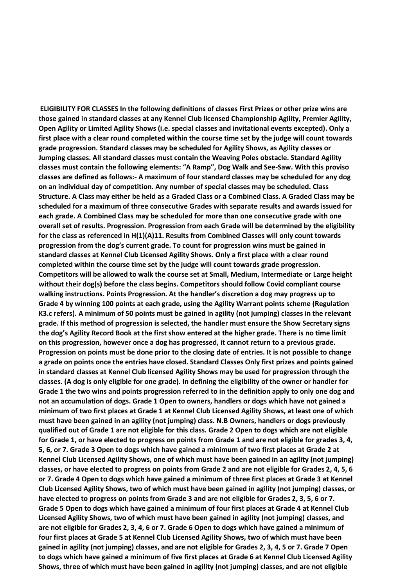**ELIGIBILITY FOR CLASSES In the following definitions of classes First Prizes or other prize wins are those gained in standard classes at any Kennel Club licensed Championship Agility, Premier Agility, Open Agility or Limited Agility Shows (i.e. special classes and invitational events excepted). Only a first place with a clear round completed within the course time set by the judge will count towards grade progression. Standard classes may be scheduled for Agility Shows, as Agility classes or Jumping classes. All standard classes must contain the Weaving Poles obstacle. Standard Agility classes must contain the following elements: "A Ramp", Dog Walk and See-Saw. With this proviso classes are defined as follows:- A maximum of four standard classes may be scheduled for any dog on an individual day of competition. Any number of special classes may be scheduled. Class Structure. A Class may either be held as a Graded Class or a Combined Class. A Graded Class may be scheduled for a maximum of three consecutive Grades with separate results and awards issued for each grade. A Combined Class may be scheduled for more than one consecutive grade with one overall set of results. Progression. Progression from each Grade will be determined by the eligibility for the class as referenced in H(1)(A)11. Results from Combined Classes will only count towards progression from the dog's current grade. To count for progression wins must be gained in standard classes at Kennel Club Licensed Agility Shows. Only a first place with a clear round completed within the course time set by the judge will count towards grade progression. Competitors will be allowed to walk the course set at Small, Medium, Intermediate or Large height without their dog(s) before the class begins. Competitors should follow Covid compliant course walking instructions. Points Progression. At the handler's discretion a dog may progress up to Grade 4 by winning 100 points at each grade, using the Agility Warrant points scheme (Regulation K3.c refers). A minimum of 50 points must be gained in agility (not jumping) classes in the relevant grade. If this method of progression is selected, the handler must ensure the Show Secretary signs the dog's Agility Record Book at the first show entered at the higher grade. There is no time limit on this progression, however once a dog has progressed, it cannot return to a previous grade. Progression on points must be done prior to the closing date of entries. It is not possible to change a grade on points once the entries have closed. Standard Classes Only first prizes and points gained in standard classes at Kennel Club licensed Agility Shows may be used for progression through the classes. (A dog is only eligible for one grade). In defining the eligibility of the owner or handler for Grade 1 the two wins and points progression referred to in the definition apply to only one dog and not an accumulation of dogs. Grade 1 Open to owners, handlers or dogs which have not gained a minimum of two first places at Grade 1 at Kennel Club Licensed Agility Shows, at least one of which must have been gained in an agility (not jumping) class. N.B Owners, handlers or dogs previously qualified out of Grade 1 are not eligible for this class. Grade 2 Open to dogs which are not eligible for Grade 1, or have elected to progress on points from Grade 1 and are not eligible for grades 3, 4, 5, 6, or 7. Grade 3 Open to dogs which have gained a minimum of two first places at Grade 2 at Kennel Club Licensed Agility Shows, one of which must have been gained in an agility (not jumping) classes, or have elected to progress on points from Grade 2 and are not eligible for Grades 2, 4, 5, 6 or 7. Grade 4 Open to dogs which have gained a minimum of three first places at Grade 3 at Kennel Club Licensed Agility Shows, two of which must have been gained in agility (not jumping) classes, or have elected to progress on points from Grade 3 and are not eligible for Grades 2, 3, 5, 6 or 7. Grade 5 Open to dogs which have gained a minimum of four first places at Grade 4 at Kennel Club Licensed Agility Shows, two of which must have been gained in agility (not jumping) classes, and are not eligible for Grades 2, 3, 4, 6 or 7. Grade 6 Open to dogs which have gained a minimum of four first places at Grade 5 at Kennel Club Licensed Agility Shows, two of which must have been gained in agility (not jumping) classes, and are not eligible for Grades 2, 3, 4, 5 or 7. Grade 7 Open to dogs which have gained a minimum of five first places at Grade 6 at Kennel Club Licensed Agility Shows, three of which must have been gained in agility (not jumping) classes, and are not eligible**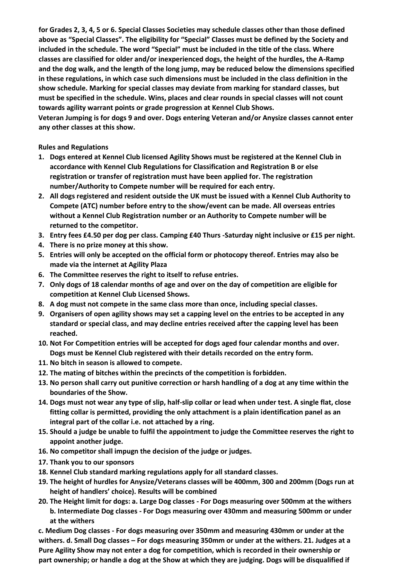**for Grades 2, 3, 4, 5 or 6. Special Classes Societies may schedule classes other than those defined above as "Special Classes". The eligibility for "Special" Classes must be defined by the Society and included in the schedule. The word "Special" must be included in the title of the class. Where classes are classified for older and/or inexperienced dogs, the height of the hurdles, the A-Ramp and the dog walk, and the length of the long jump, may be reduced below the dimensions specified in these regulations, in which case such dimensions must be included in the class definition in the show schedule. Marking for special classes may deviate from marking for standard classes, but must be specified in the schedule. Wins, places and clear rounds in special classes will not count towards agility warrant points or grade progression at Kennel Club Shows. Veteran Jumping is for dogs 9 and over. Dogs entering Veteran and/or Anysize classes cannot enter** 

**any other classes at this show.**

**Rules and Regulations** 

- **1. Dogs entered at Kennel Club licensed Agility Shows must be registered at the Kennel Club in accordance with Kennel Club Regulations for Classification and Registration B or else registration or transfer of registration must have been applied for. The registration number/Authority to Compete number will be required for each entry.**
- **2. All dogs registered and resident outside the UK must be issued with a Kennel Club Authority to Compete (ATC) number before entry to the show/event can be made. All overseas entries without a Kennel Club Registration number or an Authority to Compete number will be returned to the competitor.**
- **3. Entry fees £4.50 per dog per class. Camping £40 Thurs -Saturday night inclusive or £15 per night.**
- **4. There is no prize money at this show.**
- **5. Entries will only be accepted on the official form or photocopy thereof. Entries may also be made via the internet at Agility Plaza**
- **6. The Committee reserves the right to itself to refuse entries.**
- **7. Only dogs of 18 calendar months of age and over on the day of competition are eligible for competition at Kennel Club Licensed Shows.**
- **8. A dog must not compete in the same class more than once, including special classes.**
- **9. Organisers of open agility shows may set a capping level on the entries to be accepted in any standard or special class, and may decline entries received after the capping level has been reached.**
- **10. Not For Competition entries will be accepted for dogs aged four calendar months and over. Dogs must be Kennel Club registered with their details recorded on the entry form.**
- **11. No bitch in season is allowed to compete.**
- **12. The mating of bitches within the precincts of the competition is forbidden.**
- **13. No person shall carry out punitive correction or harsh handling of a dog at any time within the boundaries of the Show.**
- **14. Dogs must not wear any type of slip, half-slip collar or lead when under test. A single flat, close fitting collar is permitted, providing the only attachment is a plain identification panel as an integral part of the collar i.e. not attached by a ring.**
- **15. Should a judge be unable to fulfil the appointment to judge the Committee reserves the right to appoint another judge.**
- **16. No competitor shall impugn the decision of the judge or judges.**
- **17. Thank you to our sponsors**
- **18. Kennel Club standard marking regulations apply for all standard classes.**
- **19. The height of hurdles for Anysize/Veterans classes will be 400mm, 300 and 200mm (Dogs run at height of handlers' choice). Results will be combined**
- **20. The Height limit for dogs: a. Large Dog classes - For Dogs measuring over 500mm at the withers b. Intermediate Dog classes - For Dogs measuring over 430mm and measuring 500mm or under at the withers**

**c. Medium Dog classes - For dogs measuring over 350mm and measuring 430mm or under at the withers. d. Small Dog classes – For dogs measuring 350mm or under at the withers. 21. Judges at a Pure Agility Show may not enter a dog for competition, which is recorded in their ownership or part ownership; or handle a dog at the Show at which they are judging. Dogs will be disqualified if**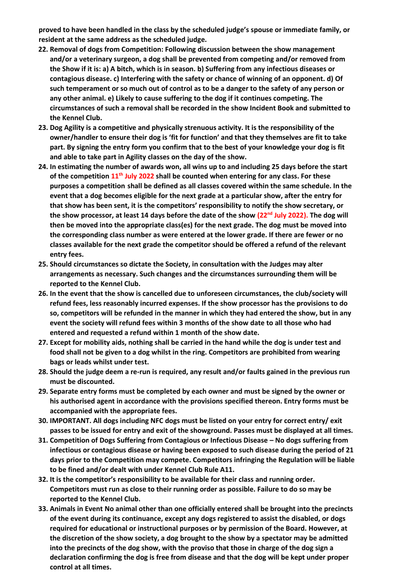**proved to have been handled in the class by the scheduled judge's spouse or immediate family, or resident at the same address as the scheduled judge.** 

- **22. Removal of dogs from Competition: Following discussion between the show management and/or a veterinary surgeon, a dog shall be prevented from competing and/or removed from the Show if it is: a) A bitch, which is in season. b) Suffering from any infectious diseases or contagious disease. c) Interfering with the safety or chance of winning of an opponent. d) Of such temperament or so much out of control as to be a danger to the safety of any person or any other animal. e) Likely to cause suffering to the dog if it continues competing. The circumstances of such a removal shall be recorded in the show Incident Book and submitted to the Kennel Club.**
- **23. Dog Agility is a competitive and physically strenuous activity. It is the responsibility of the owner/handler to ensure their dog is 'fit for function' and that they themselves are fit to take part. By signing the entry form you confirm that to the best of your knowledge your dog is fit and able to take part in Agility classes on the day of the show.**
- **24. In estimating the number of awards won, all wins up to and including 25 days before the start of the competition 11th July 2022 shall be counted when entering for any class. For these purposes a competition shall be defined as all classes covered within the same schedule. In the event that a dog becomes eligible for the next grade at a particular show, after the entry for that show has been sent, it is the competitors' responsibility to notify the show secretary, or the show processor, at least 14 days before the date of the show (22nd July 2022). The dog will then be moved into the appropriate class(es) for the next grade. The dog must be moved into the corresponding class number as were entered at the lower grade. If there are fewer or no classes available for the next grade the competitor should be offered a refund of the relevant entry fees.**
- **25. Should circumstances so dictate the Society, in consultation with the Judges may alter arrangements as necessary. Such changes and the circumstances surrounding them will be reported to the Kennel Club.**
- **26. In the event that the show is cancelled due to unforeseen circumstances, the club/society will refund fees, less reasonably incurred expenses. If the show processor has the provisions to do so, competitors will be refunded in the manner in which they had entered the show, but in any event the society will refund fees within 3 months of the show date to all those who had entered and requested a refund within 1 month of the show date.**
- **27. Except for mobility aids, nothing shall be carried in the hand while the dog is under test and food shall not be given to a dog whilst in the ring. Competitors are prohibited from wearing bags or leads whilst under test.**
- **28. Should the judge deem a re-run is required, any result and/or faults gained in the previous run must be discounted.**
- **29. Separate entry forms must be completed by each owner and must be signed by the owner or his authorised agent in accordance with the provisions specified thereon. Entry forms must be accompanied with the appropriate fees.**
- **30. IMPORTANT. All dogs including NFC dogs must be listed on your entry for correct entry/ exit passes to be issued for entry and exit of the showground. Passes must be displayed at all times.**
- **31. Competition of Dogs Suffering from Contagious or Infectious Disease – No dogs suffering from infectious or contagious disease or having been exposed to such disease during the period of 21 days prior to the Competition may compete. Competitors infringing the Regulation will be liable to be fined and/or dealt with under Kennel Club Rule A11.**
- **32. It is the competitor's responsibility to be available for their class and running order. Competitors must run as close to their running order as possible. Failure to do so may be reported to the Kennel Club.**
- **33. Animals in Event No animal other than one officially entered shall be brought into the precincts of the event during its continuance, except any dogs registered to assist the disabled, or dogs required for educational or instructional purposes or by permission of the Board. However, at the discretion of the show society, a dog brought to the show by a spectator may be admitted into the precincts of the dog show, with the proviso that those in charge of the dog sign a declaration confirming the dog is free from disease and that the dog will be kept under proper control at all times.**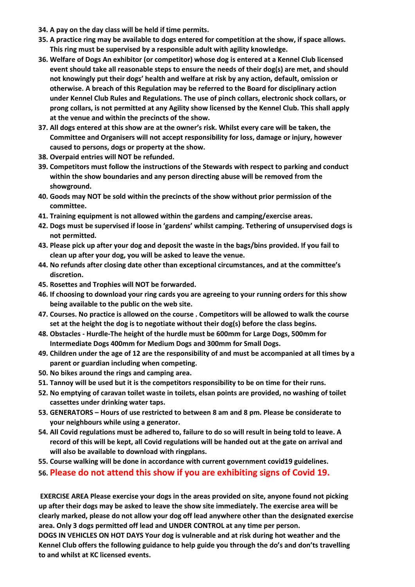- **34. A pay on the day class will be held if time permits.**
- **35. A practice ring may be available to dogs entered for competition at the show, if space allows. This ring must be supervised by a responsible adult with agility knowledge.**
- **36. Welfare of Dogs An exhibitor (or competitor) whose dog is entered at a Kennel Club licensed event should take all reasonable steps to ensure the needs of their dog(s) are met, and should not knowingly put their dogs' health and welfare at risk by any action, default, omission or otherwise. A breach of this Regulation may be referred to the Board for disciplinary action under Kennel Club Rules and Regulations. The use of pinch collars, electronic shock collars, or prong collars, is not permitted at any Agility show licensed by the Kennel Club. This shall apply at the venue and within the precincts of the show.**
- **37. All dogs entered at this show are at the owner's risk. Whilst every care will be taken, the Committee and Organisers will not accept responsibility for loss, damage or injury, however caused to persons, dogs or property at the show.**
- **38. Overpaid entries will NOT be refunded.**
- **39. Competitors must follow the instructions of the Stewards with respect to parking and conduct within the show boundaries and any person directing abuse will be removed from the showground.**
- **40. Goods may NOT be sold within the precincts of the show without prior permission of the committee.**
- **41. Training equipment is not allowed within the gardens and camping/exercise areas.**
- **42. Dogs must be supervised if loose in 'gardens' whilst camping. Tethering of unsupervised dogs is not permitted.**
- **43. Please pick up after your dog and deposit the waste in the bags/bins provided. If you fail to clean up after your dog, you will be asked to leave the venue.**
- **44. No refunds after closing date other than exceptional circumstances, and at the committee's discretion.**
- **45. Rosettes and Trophies will NOT be forwarded.**
- **46. If choosing to download your ring cards you are agreeing to your running orders for this show being available to the public on the web site.**
- **47. Courses. No practice is allowed on the course . Competitors will be allowed to walk the course set at the height the dog is to negotiate without their dog(s) before the class begins.**
- **48. Obstacles - Hurdle-The height of the hurdle must be 600mm for Large Dogs, 500mm for Intermediate Dogs 400mm for Medium Dogs and 300mm for Small Dogs.**
- **49. Children under the age of 12 are the responsibility of and must be accompanied at all times by a parent or guardian including when competing.**
- **50. No bikes around the rings and camping area.**
- **51. Tannoy will be used but it is the competitors responsibility to be on time for their runs.**
- **52. No emptying of caravan toilet waste in toilets, elsan points are provided, no washing of toilet cassettes under drinking water taps.**
- **53. GENERATORS – Hours of use restricted to between 8 am and 8 pm. Please be considerate to your neighbours while using a generator.**
- **54. All Covid regulations must be adhered to, failure to do so will result in being told to leave. A record of this will be kept, all Covid regulations will be handed out at the gate on arrival and will also be available to download with ringplans.**
- **55. Course walking will be done in accordance with current government covid19 guidelines.**
- **56. Please do not attend this show if you are exhibiting signs of Covid 19.**

**EXERCISE AREA Please exercise your dogs in the areas provided on site, anyone found not picking up after their dogs may be asked to leave the show site immediately. The exercise area will be clearly marked, please do not allow your dog off lead anywhere other than the designated exercise area. Only 3 dogs permitted off lead and UNDER CONTROL at any time per person.** 

**DOGS IN VEHICLES ON HOT DAYS Your dog is vulnerable and at risk during hot weather and the Kennel Club offers the following guidance to help guide you through the do's and don'ts travelling to and whilst at KC licensed events.**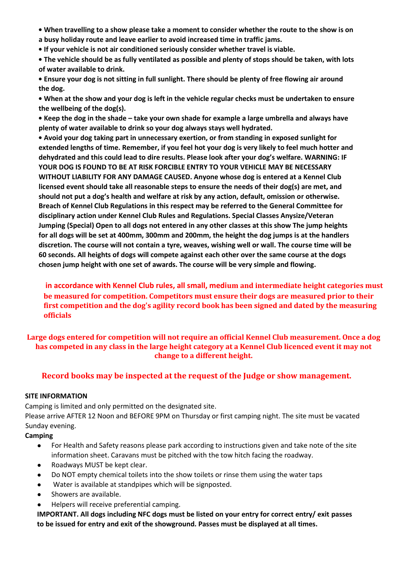**• When travelling to a show please take a moment to consider whether the route to the show is on a busy holiday route and leave earlier to avoid increased time in traffic jams.** 

**• If your vehicle is not air conditioned seriously consider whether travel is viable.** 

**• The vehicle should be as fully ventilated as possible and plenty of stops should be taken, with lots of water available to drink.** 

**• Ensure your dog is not sitting in full sunlight. There should be plenty of free flowing air around the dog.** 

**• When at the show and your dog is left in the vehicle regular checks must be undertaken to ensure the wellbeing of the dog(s).** 

**• Keep the dog in the shade – take your own shade for example a large umbrella and always have plenty of water available to drink so your dog always stays well hydrated.** 

**• Avoid your dog taking part in unnecessary exertion, or from standing in exposed sunlight for extended lengths of time. Remember, if you feel hot your dog is very likely to feel much hotter and dehydrated and this could lead to dire results. Please look after your dog's welfare. WARNING: IF YOUR DOG IS FOUND TO BE AT RISK FORCIBLE ENTRY TO YOUR VEHICLE MAY BE NECESSARY WITHOUT LIABILITY FOR ANY DAMAGE CAUSED. Anyone whose dog is entered at a Kennel Club licensed event should take all reasonable steps to ensure the needs of their dog(s) are met, and should not put a dog's health and welfare at risk by any action, default, omission or otherwise. Breach of Kennel Club Regulations in this respect may be referred to the General Committee for disciplinary action under Kennel Club Rules and Regulations. Special Classes Anysize/Veteran Jumping (Special) Open to all dogs not entered in any other classes at this show The jump heights for all dogs will be set at 400mm, 300mm and 200mm, the height the dog jumps is at the handlers discretion. The course will not contain a tyre, weaves, wishing well or wall. The course time will be 60 seconds. All heights of dogs will compete against each other over the same course at the dogs chosen jump height with one set of awards. The course will be very simple and flowing.** 

**in accordance with Kennel Club rules, all small, medium and intermediate height categories must be measured for competition. Competitors must ensure their dogs are measured prior to their first competition and the dog's agility record book has been signed and dated by the measuring officials**

**Large dogs entered for competition will not require an official Kennel Club measurement. Once a dog has competed in any class in the large height category at a Kennel Club licenced event it may not change to a different height.**

## **Record books may be inspected at the request of the Judge or show management.**

### **SITE INFORMATION**

Camping is limited and only permitted on the designated site.

Please arrive AFTER 12 Noon and BEFORE 9PM on Thursday or first camping night. The site must be vacated Sunday evening.

## **Camping**

- For Health and Safety reasons please park according to instructions given and take note of the site information sheet. Caravans must be pitched with the tow hitch facing the roadway.
- Roadways MUST be kept clear.
- Do NOT empty chemical toilets into the show toilets or rinse them using the water taps
- Water is available at standpipes which will be signposted.
- Showers are available.
- Helpers will receive preferential camping.

**IMPORTANT. All dogs including NFC dogs must be listed on your entry for correct entry/ exit passes to be issued for entry and exit of the showground. Passes must be displayed at all times.**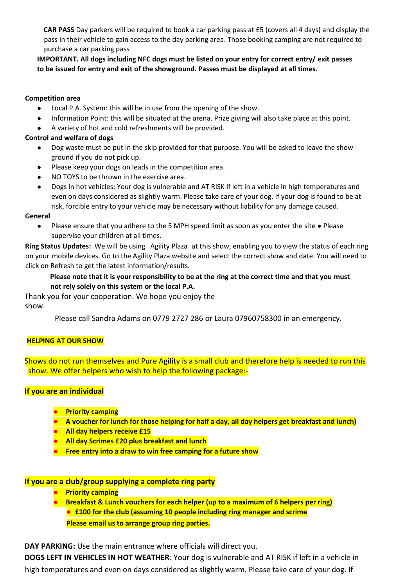**CAR PASS** Day parkers will be required to book a car parking pass at £5 (covers all 4 days) and display the pass in their vehicle to gain access to the day parking area. Those booking camping are not required to purchase a car parking pass

**IMPORTANT. All dogs including NFC dogs must be listed on your entry for correct entry/ exit passes to be issued for entry and exit of the showground. Passes must be displayed at all times.**

#### **Competition area**

- Local P.A. System: this will be in use from the opening of the show.
- Information Point: this will be situated at the arena. Prize giving will also take place at this point.
- A variety of hot and cold refreshments will be provided.

#### **Control and welfare of dogs**

- Dog waste must be put in the skip provided for that purpose. You will be asked to leave the showground if you do not pick up.
- Please keep your dogs on leads in the competition area.
- NO TOYS to be thrown in the exercise area.
- Dogs in hot vehicles: Your dog is vulnerable and AT RISK if left in a vehicle in high temperatures and even on days considered as slightly warm. Please take care of your dog. If your dog is found to be at risk, forcible entry to your vehicle may be necessary without liability for any damage caused.

#### **General**

● Please ensure that you adhere to the 5 MPH speed limit as soon as you enter the site • Please supervise your children at all times.

**Ring Status Updates:** We will be using Agility Plaza at this show, enabling you to view the status of each ring on your mobile devices. Go to the Agility Plaza website and select the correct show and date. You will need to click on Refresh to get the latest information/results.

## **Please note that it is your responsibility to be at the ring at the correct time and that you must not rely solely on this system or the local P.A.**

Thank you for your cooperation. We hope you enjoy the show.

Please call Sandra Adams on 0779 2727 286 or Laura 07960758300 in an emergency.

#### **HELPING AT OUR SHOW**

Shows do not run themselves and Pure Agility is a small club and therefore help is needed to run this show. We offer helpers who wish to help the following package:-

## **If you are an individual**

- **● Priority camping**
- **● A voucher for lunch for those helping for half a day, all day helpers get breakfast and lunch)**
- **● All day helpers receive £15**
- **● All day Scrimes £20 plus breakfast and lunch**
- **● Free entry into a draw to win free camping for a future show**

### **If you are a club/group supplying a complete ring party**

- **● Priority camping**
- **● Breakfast & Lunch vouchers for each helper (up to a maximum of 6 helpers per ring) ● £100 for the club (assuming 10 people including ring manager and scrime Please email us to arrange group ring parties.**

**DAY PARKING:** Use the main entrance where officials will direct you.

**DOGS LEFT IN VEHICLES IN HOT WEATHER**: Your dog is vulnerable and AT RISK if left in a vehicle in high temperatures and even on days considered as slightly warm. Please take care of your dog. If